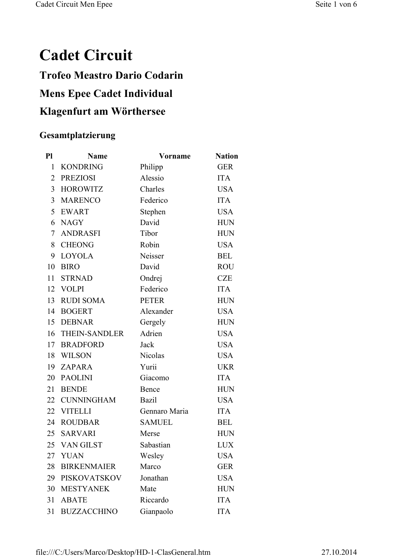## **Cadet Circuit Trofeo Meastro Dario Codarin Mens Epee Cadet Individual Klagenfurt am Wörthersee**

## **Gesamtplatzierung**

| P1             | <b>Name</b>        | <b>Vorname</b> | <b>Nation</b> |
|----------------|--------------------|----------------|---------------|
| $\mathbf{1}$   | <b>KONDRING</b>    | Philipp        | <b>GER</b>    |
| $\overline{2}$ | <b>PREZIOSI</b>    | Alessio        | <b>ITA</b>    |
| $\overline{3}$ | <b>HOROWITZ</b>    | Charles        | <b>USA</b>    |
| 3              | <b>MARENCO</b>     | Federico       | <b>ITA</b>    |
| 5              | <b>EWART</b>       | Stephen        | <b>USA</b>    |
| 6              | <b>NAGY</b>        | David          | <b>HUN</b>    |
| 7              | <b>ANDRASFI</b>    | Tibor          | <b>HUN</b>    |
| 8              | <b>CHEONG</b>      | Robin          | <b>USA</b>    |
| 9              | <b>LOYOLA</b>      | Neisser        | <b>BEL</b>    |
| 10             | <b>BIRO</b>        | David          | <b>ROU</b>    |
| 11             | <b>STRNAD</b>      | Ondrej         | <b>CZE</b>    |
|                | 12 VOLPI           | Federico       | <b>ITA</b>    |
| 13             | <b>RUDI SOMA</b>   | <b>PETER</b>   | <b>HUN</b>    |
| 14             | <b>BOGERT</b>      | Alexander      | <b>USA</b>    |
| 15             | <b>DEBNAR</b>      | Gergely        | <b>HUN</b>    |
|                | 16 THEIN-SANDLER   | Adrien         | <b>USA</b>    |
| 17             | <b>BRADFORD</b>    | Jack           | <b>USA</b>    |
| 18             | <b>WILSON</b>      | Nicolas        | <b>USA</b>    |
| 19             | <b>ZAPARA</b>      | Yurii          | <b>UKR</b>    |
| 20             | <b>PAOLINI</b>     | Giacomo        | <b>ITA</b>    |
| 21             | <b>BENDE</b>       | Bence          | <b>HUN</b>    |
|                | 22 CUNNINGHAM      | <b>Bazil</b>   | <b>USA</b>    |
|                | 22 VITELLI         | Gennaro Maria  | <b>ITA</b>    |
| 24             | <b>ROUDBAR</b>     | <b>SAMUEL</b>  | <b>BEL</b>    |
| 25             | <b>SARVARI</b>     | Merse          | <b>HUN</b>    |
| 25             | VAN GILST          | Sabastian      | <b>LUX</b>    |
| 27             | <b>YUAN</b>        | Wesley         | <b>USA</b>    |
| 28             | <b>BIRKENMAIER</b> | Marco          | <b>GER</b>    |
| 29             | PISKOVATSKOV       | Jonathan       | <b>USA</b>    |
| 30             | <b>MESTYANEK</b>   | Mate           | <b>HUN</b>    |
| 31             | <b>ABATE</b>       | Riccardo       | <b>ITA</b>    |
| 31             | <b>BUZZACCHINO</b> | Gianpaolo      | <b>ITA</b>    |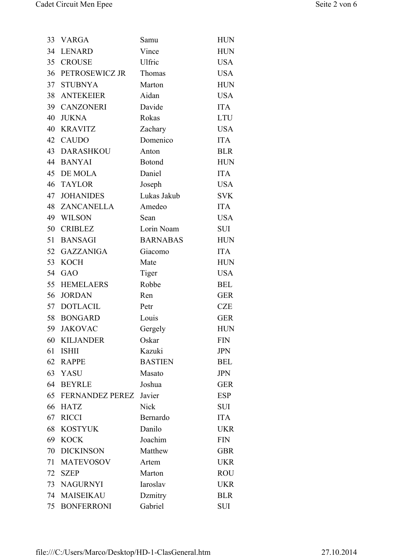| 33 | <b>VARGA</b>           | Samu            | <b>HUN</b>  |
|----|------------------------|-----------------|-------------|
|    | 34 LENARD              | Vince           | <b>HUN</b>  |
|    | 35 CROUSE              | Ulfric          | <b>USA</b>  |
| 36 | PETROSEWICZ JR         | Thomas          | <b>USA</b>  |
| 37 | <b>STUBNYA</b>         | Marton          | <b>HUN</b>  |
|    | 38 ANTEKEIER           | Aidan           | <b>USA</b>  |
|    | 39 CANZONERI           | Davide          | <b>ITA</b>  |
| 40 | <b>JUKNA</b>           | Rokas           | <b>LTU</b>  |
| 40 | <b>KRAVITZ</b>         | Zachary         | <b>USA</b>  |
| 42 | <b>CAUDO</b>           | Domenico        | <b>ITA</b>  |
|    | 43 DARASHKOU           | Anton           | <b>BLR</b>  |
|    | 44 BANYAI              | <b>Botond</b>   | <b>HUN</b>  |
|    | 45 DE MOLA             | Daniel          | <b>ITA</b>  |
| 46 | <b>TAYLOR</b>          | Joseph          | <b>USA</b>  |
| 47 | <b>JOHANIDES</b>       | Lukas Jakub     | <b>SVK</b>  |
|    | 48 ZANCANELLA          | Amedeo          | <b>ITA</b>  |
|    | 49 WILSON              | Sean            | <b>USA</b>  |
| 50 | <b>CRIBLEZ</b>         | Lorin Noam      | <b>SUI</b>  |
| 51 | <b>BANSAGI</b>         | <b>BARNABAS</b> | ${\rm HUN}$ |
| 52 | <b>GAZZANIGA</b>       | Giacomo         | <b>ITA</b>  |
| 53 | <b>KOCH</b>            | Mate            | <b>HUN</b>  |
|    | 54 GAO                 | Tiger           | <b>USA</b>  |
| 55 | <b>HEMELAERS</b>       | Robbe           | <b>BEL</b>  |
| 56 | <b>JORDAN</b>          | Ren             | <b>GER</b>  |
|    | 57 DOTLACIL            | Petr            | <b>CZE</b>  |
| 58 | <b>BONGARD</b>         | Louis           | <b>GER</b>  |
| 59 | <b>JAKOVAC</b>         | Gergely         | <b>HUN</b>  |
| 60 | <b>KILJANDER</b>       | Oskar           | <b>FIN</b>  |
| 61 | <b>ISHII</b>           | Kazuki          | <b>JPN</b>  |
| 62 | <b>RAPPE</b>           | <b>BASTIEN</b>  | <b>BEL</b>  |
| 63 | YASU                   | Masato          | <b>JPN</b>  |
| 64 | <b>BEYRLE</b>          | Joshua          | <b>GER</b>  |
| 65 | <b>FERNANDEZ PEREZ</b> | Javier          | <b>ESP</b>  |
| 66 | <b>HATZ</b>            | <b>Nick</b>     | SUI         |
| 67 | <b>RICCI</b>           | Bernardo        | <b>ITA</b>  |
| 68 | <b>KOSTYUK</b>         | Danilo          | <b>UKR</b>  |
| 69 | <b>KOCK</b>            | Joachim         | <b>FIN</b>  |
| 70 | <b>DICKINSON</b>       | Matthew         | <b>GBR</b>  |
| 71 | <b>MATEVOSOV</b>       | Artem           | <b>UKR</b>  |
| 72 | <b>SZEP</b>            | Marton          | <b>ROU</b>  |
| 73 | <b>NAGURNYI</b>        | Iaroslav        | <b>UKR</b>  |
| 74 | <b>MAISEIKAU</b>       | Dzmitry         | <b>BLR</b>  |
| 75 | <b>BONFERRONI</b>      | Gabriel         | SUI         |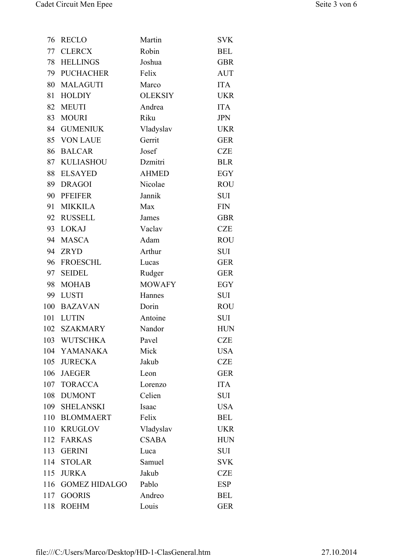| 76  | <b>RECLO</b>         | Martin         | <b>SVK</b> |
|-----|----------------------|----------------|------------|
| 77  | <b>CLERCX</b>        | Robin          | <b>BEL</b> |
| 78  | <b>HELLINGS</b>      | Joshua         | <b>GBR</b> |
| 79  | <b>PUCHACHER</b>     | Felix          | <b>AUT</b> |
| 80  | <b>MALAGUTI</b>      | Marco          | <b>ITA</b> |
| 81  | <b>HOLDIY</b>        | <b>OLEKSIY</b> | <b>UKR</b> |
| 82  | <b>MEUTI</b>         | Andrea         | <b>ITA</b> |
| 83  | <b>MOURI</b>         | Riku           | <b>JPN</b> |
| 84  | <b>GUMENIUK</b>      | Vladyslav      | <b>UKR</b> |
| 85  | <b>VON LAUE</b>      | Gerrit         | <b>GER</b> |
| 86  | <b>BALCAR</b>        | Josef          | <b>CZE</b> |
| 87  | <b>KULIASHOU</b>     | Dzmitri        | <b>BLR</b> |
| 88  | <b>ELSAYED</b>       | <b>AHMED</b>   | EGY        |
| 89  | <b>DRAGOI</b>        | Nicolae        | <b>ROU</b> |
| 90  | <b>PFEIFER</b>       | Jannik         | <b>SUI</b> |
| 91  | <b>MIKKILA</b>       | Max            | <b>FIN</b> |
| 92  | <b>RUSSELL</b>       | James          | <b>GBR</b> |
| 93  | <b>LOKAJ</b>         | Vaclav         | <b>CZE</b> |
| 94  | <b>MASCA</b>         | Adam           | <b>ROU</b> |
| 94  | <b>ZRYD</b>          | Arthur         | <b>SUI</b> |
| 96  | <b>FROESCHL</b>      | Lucas          | <b>GER</b> |
| 97  | <b>SEIDEL</b>        | Rudger         | <b>GER</b> |
| 98  | <b>MOHAB</b>         | <b>MOWAFY</b>  | <b>EGY</b> |
| 99  | <b>LUSTI</b>         | Hannes         | <b>SUI</b> |
| 100 | <b>BAZAVAN</b>       | Dorin          | <b>ROU</b> |
| 101 | <b>LUTIN</b>         | Antoine        | <b>SUI</b> |
| 102 | <b>SZAKMARY</b>      | Nandor         | <b>HUN</b> |
|     | 103 WUTSCHKA         | Pavel          | <b>CZE</b> |
| 104 | YAMANAKA             | Mick           | <b>USA</b> |
|     | 105 JURECKA          | Jakub          | <b>CZE</b> |
|     | 106 JAEGER           | Leon           | <b>GER</b> |
|     | 107 TORACCA          | Lorenzo        | <b>ITA</b> |
| 108 | <b>DUMONT</b>        | Celien         | <b>SUI</b> |
|     | 109 SHELANSKI        | Isaac          | <b>USA</b> |
| 110 | <b>BLOMMAERT</b>     | Felix          | <b>BEL</b> |
| 110 | <b>KRUGLOV</b>       | Vladyslav      | <b>UKR</b> |
|     | 112 FARKAS           | <b>CSABA</b>   | <b>HUN</b> |
| 113 | <b>GERINI</b>        | Luca           | SUI        |
| 114 | <b>STOLAR</b>        | Samuel         | <b>SVK</b> |
| 115 | <b>JURKA</b>         | Jakub          | <b>CZE</b> |
| 116 | <b>GOMEZ HIDALGO</b> | Pablo          | <b>ESP</b> |
|     | 117 GOORIS           | Andreo         | <b>BEL</b> |
| 118 | <b>ROEHM</b>         | Louis          | <b>GER</b> |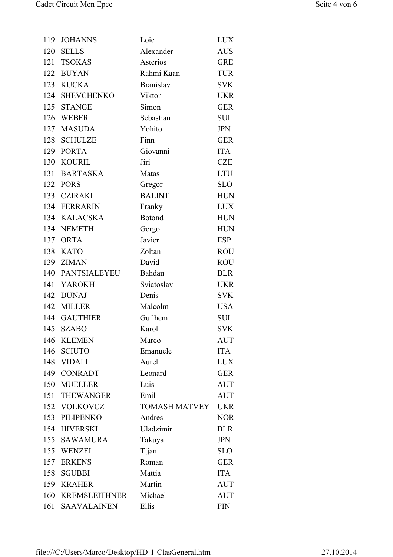| 119 | <b>JOHANNS</b>     | Loic                 | <b>LUX</b> |
|-----|--------------------|----------------------|------------|
|     | 120 SELLS          | Alexander            | <b>AUS</b> |
| 121 | <b>TSOKAS</b>      | Asterios             | <b>GRE</b> |
|     | 122 BUYAN          | Rahmi Kaan           | <b>TUR</b> |
| 123 | <b>KUCKA</b>       | <b>Branislav</b>     | <b>SVK</b> |
|     | 124 SHEVCHENKO     | Viktor               | <b>UKR</b> |
|     | 125 STANGE         | Simon                | <b>GER</b> |
|     | 126 WEBER          | Sebastian            | <b>SUI</b> |
|     | 127 MASUDA         | Yohito               | <b>JPN</b> |
| 128 | <b>SCHULZE</b>     | Finn                 | <b>GER</b> |
|     | 129 PORTA          | Giovanni             | <b>ITA</b> |
|     | 130 KOURIL         | Jiri                 | <b>CZE</b> |
| 131 | <b>BARTASKA</b>    | Matas                | <b>LTU</b> |
|     | 132 PORS           | Gregor               | <b>SLO</b> |
| 133 | <b>CZIRAKI</b>     | <b>BALINT</b>        | <b>HUN</b> |
|     | 134 FERRARIN       | Franky               | <b>LUX</b> |
|     | 134 KALACSKA       | <b>Botond</b>        | <b>HUN</b> |
|     | 134 NEMETH         | Gergo                | <b>HUN</b> |
|     | 137 ORTA           | Javier               | <b>ESP</b> |
| 138 | <b>KATO</b>        | Zoltan               | <b>ROU</b> |
|     | 139 ZIMAN          | David                | <b>ROU</b> |
|     | 140 PANTSIALEYEU   | Bahdan               | <b>BLR</b> |
| 141 | YAROKH             | Sviatoslav           | <b>UKR</b> |
|     | 142 DUNAJ          | Denis                | <b>SVK</b> |
|     | 142 MILLER         | Malcolm              | <b>USA</b> |
|     | 144 GAUTHIER       | Guilhem              | SUI        |
| 145 | <b>SZABO</b>       | Karol                | <b>SVK</b> |
| 146 | <b>KLEMEN</b>      | Marco                | <b>AUT</b> |
| 146 | <b>SCIUTO</b>      | Emanuele             | <b>ITA</b> |
|     | 148 VIDALI         | Aurel                | <b>LUX</b> |
|     | 149 CONRADT        | Leonard              | <b>GER</b> |
|     | 150 MUELLER        | Luis                 | <b>AUT</b> |
|     | 151 THEWANGER      | Emil                 | <b>AUT</b> |
|     | 152 VOLKOVCZ       | <b>TOMASH MATVEY</b> | <b>UKR</b> |
|     | 153 PILIPENKO      | Andres               | <b>NOR</b> |
|     | 154 HIVERSKI       | Uladzimir            | <b>BLR</b> |
|     | 155 SAWAMURA       | Takuya               | <b>JPN</b> |
|     | 155 WENZEL         | Tijan                | <b>SLO</b> |
| 157 | <b>ERKENS</b>      | Roman                | <b>GER</b> |
| 158 | <b>SGUBBI</b>      | Mattia               | <b>ITA</b> |
|     | 159 KRAHER         | Martin               | <b>AUT</b> |
|     | 160 KREMSLEITHNER  | Michael              | <b>AUT</b> |
| 161 | <b>SAAVALAINEN</b> | Ellis                | <b>FIN</b> |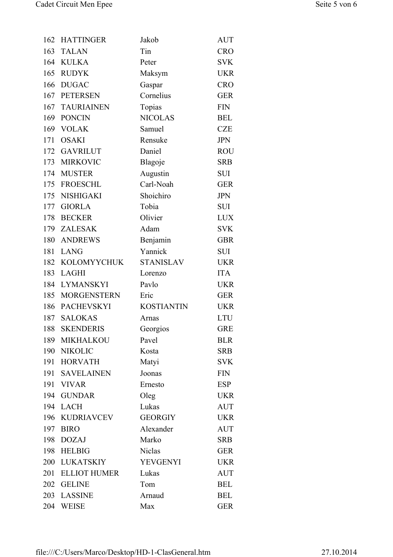| 162 | <b>HATTINGER</b>    | Jakob             | <b>AUT</b> |
|-----|---------------------|-------------------|------------|
| 163 | <b>TALAN</b>        | Tin               | <b>CRO</b> |
|     | 164 KULKA           | Peter             | <b>SVK</b> |
|     | 165 RUDYK           | Maksym            | <b>UKR</b> |
| 166 | <b>DUGAC</b>        | Gaspar            | <b>CRO</b> |
|     | 167 PETERSEN        | Cornelius         | <b>GER</b> |
| 167 | <b>TAURIAINEN</b>   | Topias            | <b>FIN</b> |
|     | 169 PONCIN          | <b>NICOLAS</b>    | <b>BEL</b> |
|     | 169 VOLAK           | Samuel            | <b>CZE</b> |
| 171 | <b>OSAKI</b>        | Rensuke           | <b>JPN</b> |
|     | 172 GAVRILUT        | Daniel            | <b>ROU</b> |
|     | 173 MIRKOVIC        | Blagoje           | <b>SRB</b> |
|     | 174 MUSTER          | Augustin          | SUI        |
|     | 175 FROESCHL        | Carl-Noah         | <b>GER</b> |
|     | 175 NISHIGAKI       | Shoichiro         | <b>JPN</b> |
|     | 177 GIORLA          | Tobia             | <b>SUI</b> |
|     | 178 BECKER          | Olivier           | <b>LUX</b> |
|     | 179 ZALESAK         | Adam              | <b>SVK</b> |
| 180 | ANDREWS             | Benjamin          | <b>GBR</b> |
| 181 | <b>LANG</b>         | Yannick           | <b>SUI</b> |
|     | 182 KOLOMYYCHUK     | <b>STANISLAV</b>  | <b>UKR</b> |
|     | 183 LAGHI           | Lorenzo           | <b>ITA</b> |
|     | 184 LYMANSKYI       | Pavlo             | <b>UKR</b> |
|     | 185 MORGENSTERN     | Eric              | <b>GER</b> |
| 186 | <b>PACHEVSKYI</b>   | <b>KOSTIANTIN</b> | <b>UKR</b> |
| 187 | <b>SALOKAS</b>      | Arnas             | <b>LTU</b> |
| 188 | <b>SKENDERIS</b>    | Georgios          | <b>GRE</b> |
|     | 189 MIKHALKOU       | Pavel             | <b>BLR</b> |
| 190 | <b>NIKOLIC</b>      | Kosta             | <b>SRB</b> |
|     | 191 HORVATH         | Matyi             | <b>SVK</b> |
|     | 191 SAVELAINEN      | Joonas            | <b>FIN</b> |
|     | 191 VIVAR           | Ernesto           | <b>ESP</b> |
|     | 194 GUNDAR          | Oleg              | <b>UKR</b> |
|     | 194 LACH            | Lukas             | <b>AUT</b> |
|     | 196 KUDRIAVCEV      | <b>GEORGIY</b>    | <b>UKR</b> |
| 197 | <b>BIRO</b>         | Alexander         | <b>AUT</b> |
|     | 198 DOZAJ           | Marko             | <b>SRB</b> |
|     | 198 HELBIG          | <b>Niclas</b>     | <b>GER</b> |
| 200 | LUKATSKIY           | <b>YEVGENYI</b>   | <b>UKR</b> |
| 201 | <b>ELLIOT HUMER</b> | Lukas             | <b>AUT</b> |
| 202 | <b>GELINE</b>       | Tom               | <b>BEL</b> |
|     | 203 LASSINE         | Arnaud            | <b>BEL</b> |
|     | 204 WEISE           | Max               | <b>GER</b> |